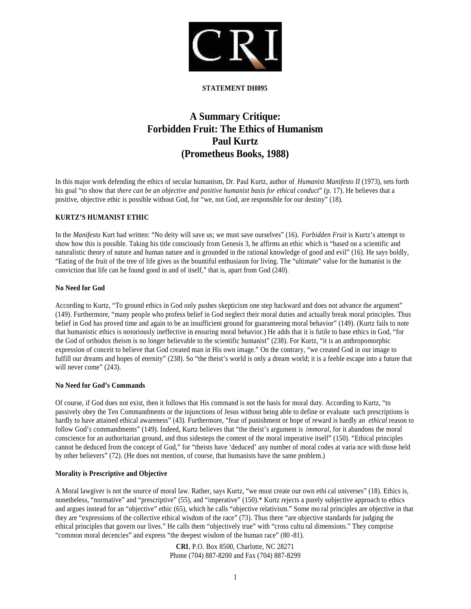

#### **STATEMENT DH095**

# **A Summary Critique: Forbidden Fruit: The Ethics of Humanism Paul Kurtz (Prometheus Books, 1988)**

In this major work defending the ethics of secular humanism, Dr. Paul Kurtz, author of *Humanist Manifesto II* (1973), sets forth his goal "to show that *there can be an objective and positive humanist basis for ethical conduct*" (p. 17). He believes that a positive, objective ethic is possible without God, for "we, not God, are responsible for our destiny" (18).

## **KURTZ'S HUMANIST ETHIC**

In the *Manifesto* Kurt had written: "No deity will save us; we must save ourselves" (16). *Forbidden Fruit* is Kurtz's attempt to show how this is possible. Taking his title consciously from Genesis 3, he affirms an ethic which is "based on a scientific and naturalistic theory of nature and human nature and is grounded in the rational knowledge of good and evil" (16). He says boldly, "Eating of the fruit of the tree of life gives us the bountiful enthusiasm for living. The "ultimate" value for the humanist is the conviction that life can be found good in and of itself," that is, apart from God (240).

#### **No Need for God**

According to Kurtz, "To ground ethics in God only pushes skepticism one step backward and does not advance the argument" (149). Furthermore, "many people who profess belief in God neglect their moral duties and actually break moral principles. Thus belief in God has proved time and again to be an insufficient ground for guaranteeing moral behavior" (149). (Kurtz fails to note that humanistic ethics is notoriously ineffective in ensuring moral behavior.) He adds that it is futile to base ethics in God, "for the God of orthodox theism is no longer believable to the scientific humanist" (238). For Kurtz, "it is an anthropomorphic expression of conceit to believe that God created man in His own image." On the contrary, "we created God in our image to fulfill our dreams and hopes of eternity" (238). So "the theist's world is only a dream world; it is a feeble escape into a future that will never come" (243).

# **No Need for God's Commands**

Of course, if God does not exist, then it follows that His command is not the basis for moral duty. According to Kurtz, "to passively obey the Ten Commandments or the injunctions of Jesus without being able to define or evaluate such prescriptions is hardly to have attained ethical awareness" (43). Furthermore, "fear of punishment or hope of reward is hardly an *ethical* reason to follow God's commandments" (149). Indeed, Kurtz believes that "the theist's argument is *immoral*, for it abandons the moral conscience for an authoritarian ground, and thus sidesteps the content of the moral imperative itself" (150). "Ethical principles cannot be deduced from the concept of God," for "theists have 'deduced' any number of moral codes at varia nce with those held by other believers" (72). (He does not mention, of course, that humanists have the same problem.)

# **Morality is Prescriptive and Objective**

A Moral lawgiver is not the source of moral law. Rather, says Kurtz, "we must create our own ethi cal universes" (18). Ethics is, nonetheless, "normative" and "prescriptive" (55), and "imperative" (150).\* Kurtz rejects a purely subjective approach to ethics and argues instead for an "objective" ethic (65), which he calls "objective relativism." Some mo ral principles are objective in that they are "expressions of the collective ethical wisdom of the race" (73). Thus there "are objective standards for judging the ethical principles that govern our lives." He calls them "objectively true" with "cross cultu ral dimensions." They comprise "common moral decencies" and express "the deepest wisdom of the human race" (80 -81).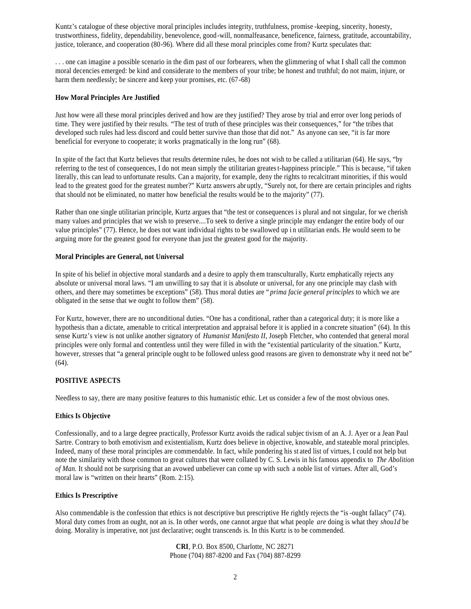Kuntz's catalogue of these objective moral principles includes integrity, truthfulness, promise -keeping, sincerity, honesty, trustworthiness, fidelity, dependability, benevolence, good-will, nonmalfeasance, beneficence, fairness, gratitude, accountability, justice, tolerance, and cooperation (80-96). Where did all these moral principles come from? Kurtz speculates that:

. . . one can imagine a possible scenario in the dim past of our forbearers, when the glimmering of what I shall call the common moral decencies emerged: be kind and considerate to the members of your tribe; be honest and truthful; do not maim, injure, or harm them needlessly; be sincere and keep your promises, etc. (67-68)

#### **How Moral Principles Are Justified**

Just how were all these moral principles derived and how are they justified? They arose by trial and error over long periods of time. They were justified by their results. "The test of truth of these principles was their consequences," for "the tribes that developed such rules had less discord and could better survive than those that did not." As anyone can see, "it is far more beneficial for everyone to cooperate; it works pragmatically in the long run" (68).

In spite of the fact that Kurtz believes that results determine rules, he does not wish to be called a utilitarian (64). He says, "by referring to the test of consequences, I do not mean simply the utilitarian greatest-happiness principle." This is because, "if taken literally, this can lead to unfortunate results. Can a majority, for example, deny the rights to recalcitrant minorities, if this would lead to the greatest good for the greatest number?" Kurtz answers abr uptly, "Surely not, for there are certain principles and rights that should not be eliminated, no matter how beneficial the results would be to the majority" (77).

Rather than one single utilitarian principle, Kurtz argues that "the test or consequences is plural and not singular, for we cherish many values and principles that we wish to preserve....To seek to derive a single principle may endanger the entire body of our value principles" (77). Hence, he does not want individual rights to be swallowed up i n utilitarian ends. He would seem to be arguing more for the greatest good for everyone than just the greatest good for the majority.

## **Moral Principles are General, not Universal**

In spite of his belief in objective moral standards and a desire to apply them transculturally, Kurtz emphatically rejects any absolute or universal moral laws. "I am unwilling to say that it is absolute or universal, for any one principle may clash with others, and there may sometimes be exceptions" (58). Thus moral duties are " *prima facie general principles* to which we are obligated in the sense that we ought to follow them" (58).

For Kurtz, however, there are no unconditional duties. "One has a conditional, rather than a categorical duty; it is more like a hypothesis than a dictate, amenable to critical interpretation and appraisal before it is applied in a concrete situation" (64). In this sense Kurtz's view is not unlike another signatory of *Humanist Manifesto II*, Joseph Fletcher, who contended that general moral principles were only formal and contentless until they were filled in with the "existential particularity of the situation." Kurtz, however, stresses that "a general principle ought to be followed unless good reasons are given to demonstrate why it need not be" (64).

# **POSITIVE ASPECTS**

Needless to say, there are many positive features to this humanistic ethic. Let us consider a few of the most obvious ones.

#### **Ethics Is Objective**

Confessionally, and to a large degree practically, Professor Kurtz avoids the radical subjec tivism of an A. J. Ayer or a Jean Paul Sartre. Contrary to both emotivism and existentialism, Kurtz does believe in objective, knowable, and stateable moral principles. Indeed, many of these moral principles are commendable. In fact, while pondering his st ated list of virtues, I could not help but note the similarity with those common to great cultures that were collated by C. S. Lewis in his famous appendix to *The Abolition of Man.* It should not be surprising that an avowed unbeliever can come up with such a noble list of virtues. After all, God's moral law is "written on their hearts" (Rom. 2:15).

# **Ethics Is Prescriptive**

Also commendable is the confession that ethics is not descriptive but prescriptive He rightly rejects the "is -ought fallacy" (74). Moral duty comes from an ought, not an is. In other words, one cannot argue that what people *are* doing is what they *shou1d* be doing. Morality is imperative, not just declarative; ought transcends is. In this Kurtz is to be commended.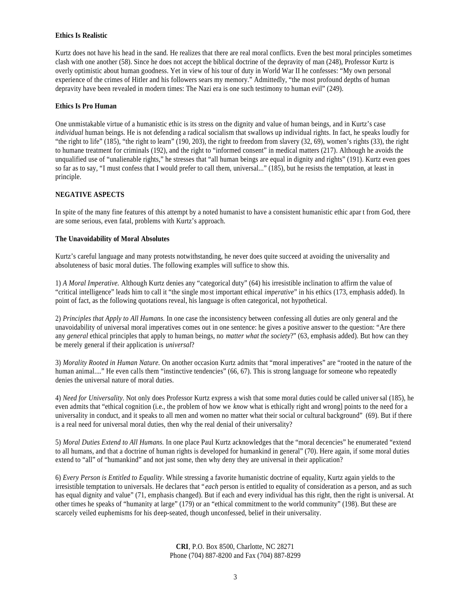#### **Ethics Is Realistic**

Kurtz does not have his head in the sand. He realizes that there are real moral conflicts. Even the best moral principles sometimes clash with one another (58). Since he does not accept the biblical doctrine of the depravity of man (248), Professor Kurtz is overly optimistic about human goodness. Yet in view of his tour of duty in World War II he confesses: "My own personal experience of the crimes of Hitler and his followers sears my memory." Admittedly, "the most profound depths of human depravity have been revealed in modern times: The Nazi era is one such testimony to human evil" (249).

#### **Ethics Is Pro Human**

One unmistakable virtue of a humanistic ethic is its stress on the dignity and value of human beings, and in Kurtz's case *individual* human beings. He is not defending a radical socialism that swallows up individual rights. In fact, he speaks loudly for "the right to life" (185), "the right to learn" (190, 203), the right to freedom from slavery (32, 69), women's rights (33), the right to humane treatment for criminals (192), and the right to "informed consent" in medical matters (217). Although he avoids the unqualified use of "unalienable rights," he stresses that "all human beings are equal in dignity and rights" (191). Kurtz even goes so far as to say, "I must confess that I would prefer to call them, universal..." (185), but he resists the temptation, at least in principle.

# **NEGATIVE ASPECTS**

In spite of the many fine features of this attempt by a noted humanist to have a consistent humanistic ethic apar t from God, there are some serious, even fatal, problems with Kurtz's approach.

## **The Unavoidability of Moral Absolutes**

Kurtz's careful language and many protests notwithstanding, he never does quite succeed at avoiding the universality and absoluteness of basic moral duties. The following examples will suffice to show this.

1) *A Moral Imperative.* Although Kurtz denies any "categorical duty" (64) his irresistible inclination to affirm the value of "critical intelligence" leads him to call it "the single most important ethical *imperative*" in his ethics (173, emphasis added). In point of fact, as the following quotations reveal, his language is often categorical, not hypothetical.

2) *Principles that Apply to All Humans.* In one case the inconsistency between confessing all duties are only general and the unavoidability of universal moral imperatives comes out in one sentence: he gives a positive answer to the question: "Are there any *general* ethical principles that apply to human beings, no *matter what the society*?" (63, emphasis added). But how can they be merely general if their application is *universal*?

3) *Morality Rooted in Human Nature.* On another occasion Kurtz admits that "moral imperatives" are "rooted in the nature of the human animal...." He even calls them "instinctive tendencies" (66, 67). This is strong language for someone who repeatedly denies the universal nature of moral duties.

4) *Need for Universality.* Not only does Professor Kurtz express a wish that some moral duties could be called univer sal (185), he even admits that "ethical cognition (i.e., the problem of how we *know* what is ethically right and wrong] points to the need for a universality in conduct, and it speaks to all men and women no matter what their social or cultural background" (69). But if there is a real need for universal moral duties, then why the real denial of their universality?

5) *Moral Duties Extend to All Humans.* In one place Paul Kurtz acknowledges that the "moral decencies" he enumerated "extend to all humans, and that a doctrine of human rights is developed for humankind in general" (70). Here again, if some moral duties extend to "all" of "humankind" and not just some, then why deny they are universal in their application?

6) *Every Person is Entitled to Equality*. While stressing a favorite humanistic doctrine of equality, Kurtz again yields to the irresistible temptation to universals. He declares that " *each* person is entitled to equality of consideration as a person, and as such has equal dignity and value" (71, emphasis changed). But if each and every individual has this right, then the right is universal. At other times he speaks of "humanity at large" (179) or an "ethical commitment to the world community" (198). But these are scarcely veiled euphemisms for his deep-seated, though unconfessed, belief in their universality.